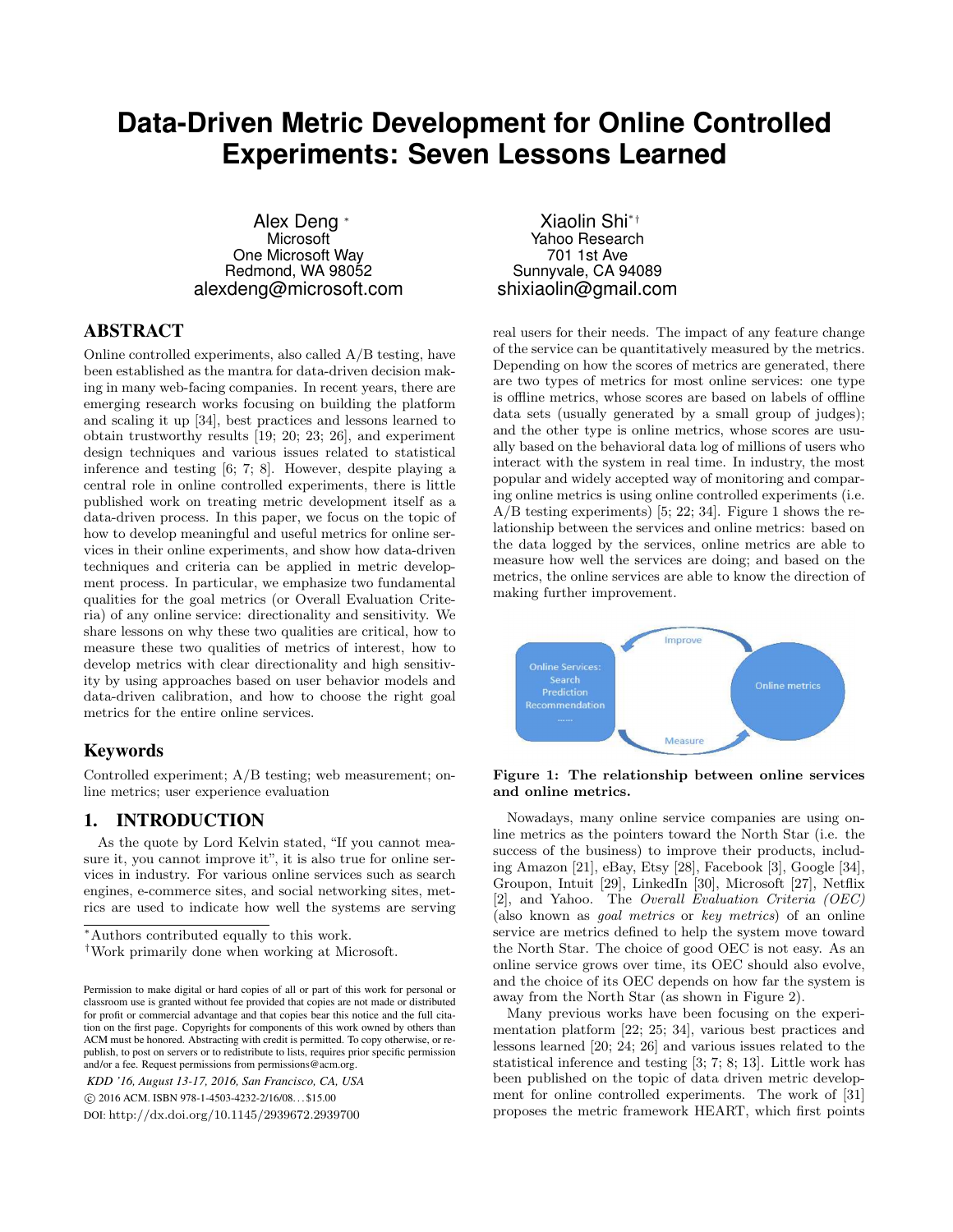# **Data-Driven Metric Development for Online Controlled Experiments: Seven Lessons Learned**

Alex Deng <sup>∗</sup> **Microsoft** One Microsoft Way Redmond, WA 98052 alexdeng@microsoft.com

## ABSTRACT

Online controlled experiments, also called A/B testing, have been established as the mantra for data-driven decision making in many web-facing companies. In recent years, there are emerging research works focusing on building the platform and scaling it up [34], best practices and lessons learned to obtain trustworthy results [19; 20; 23; 26], and experiment design techniques and various issues related to statistical inference and testing [6; 7; 8]. However, despite playing a central role in online controlled experiments, there is little published work on treating metric development itself as a data-driven process. In this paper, we focus on the topic of how to develop meaningful and useful metrics for online services in their online experiments, and show how data-driven techniques and criteria can be applied in metric development process. In particular, we emphasize two fundamental qualities for the goal metrics (or Overall Evaluation Criteria) of any online service: directionality and sensitivity. We share lessons on why these two qualities are critical, how to measure these two qualities of metrics of interest, how to develop metrics with clear directionality and high sensitivity by using approaches based on user behavior models and data-driven calibration, and how to choose the right goal metrics for the entire online services.

## Keywords

Controlled experiment; A/B testing; web measurement; online metrics; user experience evaluation

## 1. INTRODUCTION

As the quote by Lord Kelvin stated, "If you cannot measure it, you cannot improve it", it is also true for online services in industry. For various online services such as search engines, e-commerce sites, and social networking sites, metrics are used to indicate how well the systems are serving

*KDD '16, August 13-17, 2016, San Francisco, CA, USA* c 2016 ACM. ISBN 978-1-4503-4232-2/16/08. . . \$15.00 DOI: http://dx.doi.org/10.1145/2939672.2939700

Xiaolin Shi\*† Yahoo Research 701 1st Ave Sunnyvale, CA 94089 shixiaolin@gmail.com

real users for their needs. The impact of any feature change of the service can be quantitatively measured by the metrics. Depending on how the scores of metrics are generated, there are two types of metrics for most online services: one type is offline metrics, whose scores are based on labels of offline data sets (usually generated by a small group of judges); and the other type is online metrics, whose scores are usually based on the behavioral data log of millions of users who interact with the system in real time. In industry, the most popular and widely accepted way of monitoring and comparing online metrics is using online controlled experiments (i.e. A/B testing experiments) [5; 22; 34]. Figure 1 shows the relationship between the services and online metrics: based on the data logged by the services, online metrics are able to measure how well the services are doing; and based on the metrics, the online services are able to know the direction of making further improvement.



#### Figure 1: The relationship between online services and online metrics.

Nowadays, many online service companies are using online metrics as the pointers toward the North Star (i.e. the success of the business) to improve their products, including Amazon [21], eBay, Etsy [28], Facebook [3], Google [34], Groupon, Intuit [29], LinkedIn [30], Microsoft [27], Netflix [2], and Yahoo. The Overall Evaluation Criteria (OEC) (also known as goal metrics or key metrics) of an online service are metrics defined to help the system move toward the North Star. The choice of good OEC is not easy. As an online service grows over time, its OEC should also evolve, and the choice of its OEC depends on how far the system is away from the North Star (as shown in Figure 2).

Many previous works have been focusing on the experimentation platform [22; 25; 34], various best practices and lessons learned [20; 24; 26] and various issues related to the statistical inference and testing [3; 7; 8; 13]. Little work has been published on the topic of data driven metric development for online controlled experiments. The work of [31] proposes the metric framework HEART, which first points

<sup>∗</sup>Authors contributed equally to this work.

<sup>†</sup>Work primarily done when working at Microsoft.

Permission to make digital or hard copies of all or part of this work for personal or classroom use is granted without fee provided that copies are not made or distributed for profit or commercial advantage and that copies bear this notice and the full citation on the first page. Copyrights for components of this work owned by others than ACM must be honored. Abstracting with credit is permitted. To copy otherwise, or republish, to post on servers or to redistribute to lists, requires prior specific permission and/or a fee. Request permissions from permissions@acm.org.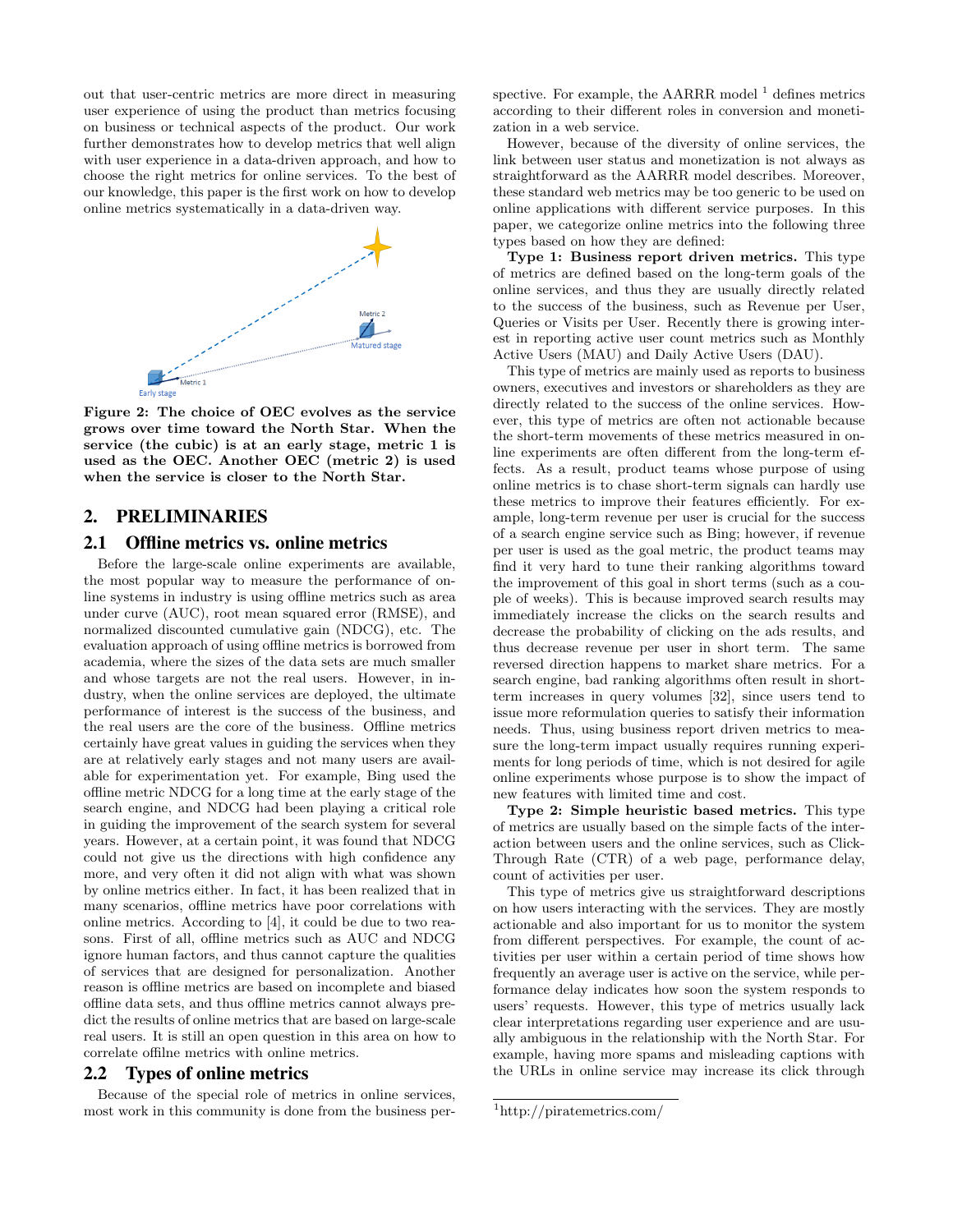out that user-centric metrics are more direct in measuring user experience of using the product than metrics focusing on business or technical aspects of the product. Our work further demonstrates how to develop metrics that well align with user experience in a data-driven approach, and how to choose the right metrics for online services. To the best of our knowledge, this paper is the first work on how to develop online metrics systematically in a data-driven way.



Figure 2: The choice of OEC evolves as the service grows over time toward the North Star. When the service (the cubic) is at an early stage, metric 1 is used as the OEC. Another OEC (metric 2) is used when the service is closer to the North Star.

## 2. PRELIMINARIES

## 2.1 Offline metrics vs. online metrics

Before the large-scale online experiments are available, the most popular way to measure the performance of online systems in industry is using offline metrics such as area under curve (AUC), root mean squared error (RMSE), and normalized discounted cumulative gain (NDCG), etc. The evaluation approach of using offline metrics is borrowed from academia, where the sizes of the data sets are much smaller and whose targets are not the real users. However, in industry, when the online services are deployed, the ultimate performance of interest is the success of the business, and the real users are the core of the business. Offline metrics certainly have great values in guiding the services when they are at relatively early stages and not many users are available for experimentation yet. For example, Bing used the offline metric NDCG for a long time at the early stage of the search engine, and NDCG had been playing a critical role in guiding the improvement of the search system for several years. However, at a certain point, it was found that NDCG could not give us the directions with high confidence any more, and very often it did not align with what was shown by online metrics either. In fact, it has been realized that in many scenarios, offline metrics have poor correlations with online metrics. According to [4], it could be due to two reasons. First of all, offline metrics such as AUC and NDCG ignore human factors, and thus cannot capture the qualities of services that are designed for personalization. Another reason is offline metrics are based on incomplete and biased offline data sets, and thus offline metrics cannot always predict the results of online metrics that are based on large-scale real users. It is still an open question in this area on how to correlate offilne metrics with online metrics.

#### 2.2 Types of online metrics

Because of the special role of metrics in online services, most work in this community is done from the business perspective. For example, the AARRR model  $<sup>1</sup>$  defines metrics</sup> according to their different roles in conversion and monetization in a web service.

However, because of the diversity of online services, the link between user status and monetization is not always as straightforward as the AARRR model describes. Moreover, these standard web metrics may be too generic to be used on online applications with different service purposes. In this paper, we categorize online metrics into the following three types based on how they are defined:

Type 1: Business report driven metrics. This type of metrics are defined based on the long-term goals of the online services, and thus they are usually directly related to the success of the business, such as Revenue per User, Queries or Visits per User. Recently there is growing interest in reporting active user count metrics such as Monthly Active Users (MAU) and Daily Active Users (DAU).

This type of metrics are mainly used as reports to business owners, executives and investors or shareholders as they are directly related to the success of the online services. However, this type of metrics are often not actionable because the short-term movements of these metrics measured in online experiments are often different from the long-term effects. As a result, product teams whose purpose of using online metrics is to chase short-term signals can hardly use these metrics to improve their features efficiently. For example, long-term revenue per user is crucial for the success of a search engine service such as Bing; however, if revenue per user is used as the goal metric, the product teams may find it very hard to tune their ranking algorithms toward the improvement of this goal in short terms (such as a couple of weeks). This is because improved search results may immediately increase the clicks on the search results and decrease the probability of clicking on the ads results, and thus decrease revenue per user in short term. The same reversed direction happens to market share metrics. For a search engine, bad ranking algorithms often result in shortterm increases in query volumes [32], since users tend to issue more reformulation queries to satisfy their information needs. Thus, using business report driven metrics to measure the long-term impact usually requires running experiments for long periods of time, which is not desired for agile online experiments whose purpose is to show the impact of new features with limited time and cost.

Type 2: Simple heuristic based metrics. This type of metrics are usually based on the simple facts of the interaction between users and the online services, such as Click-Through Rate (CTR) of a web page, performance delay, count of activities per user.

This type of metrics give us straightforward descriptions on how users interacting with the services. They are mostly actionable and also important for us to monitor the system from different perspectives. For example, the count of activities per user within a certain period of time shows how frequently an average user is active on the service, while performance delay indicates how soon the system responds to users' requests. However, this type of metrics usually lack clear interpretations regarding user experience and are usually ambiguous in the relationship with the North Star. For example, having more spams and misleading captions with the URLs in online service may increase its click through

<sup>1</sup>http://piratemetrics.com/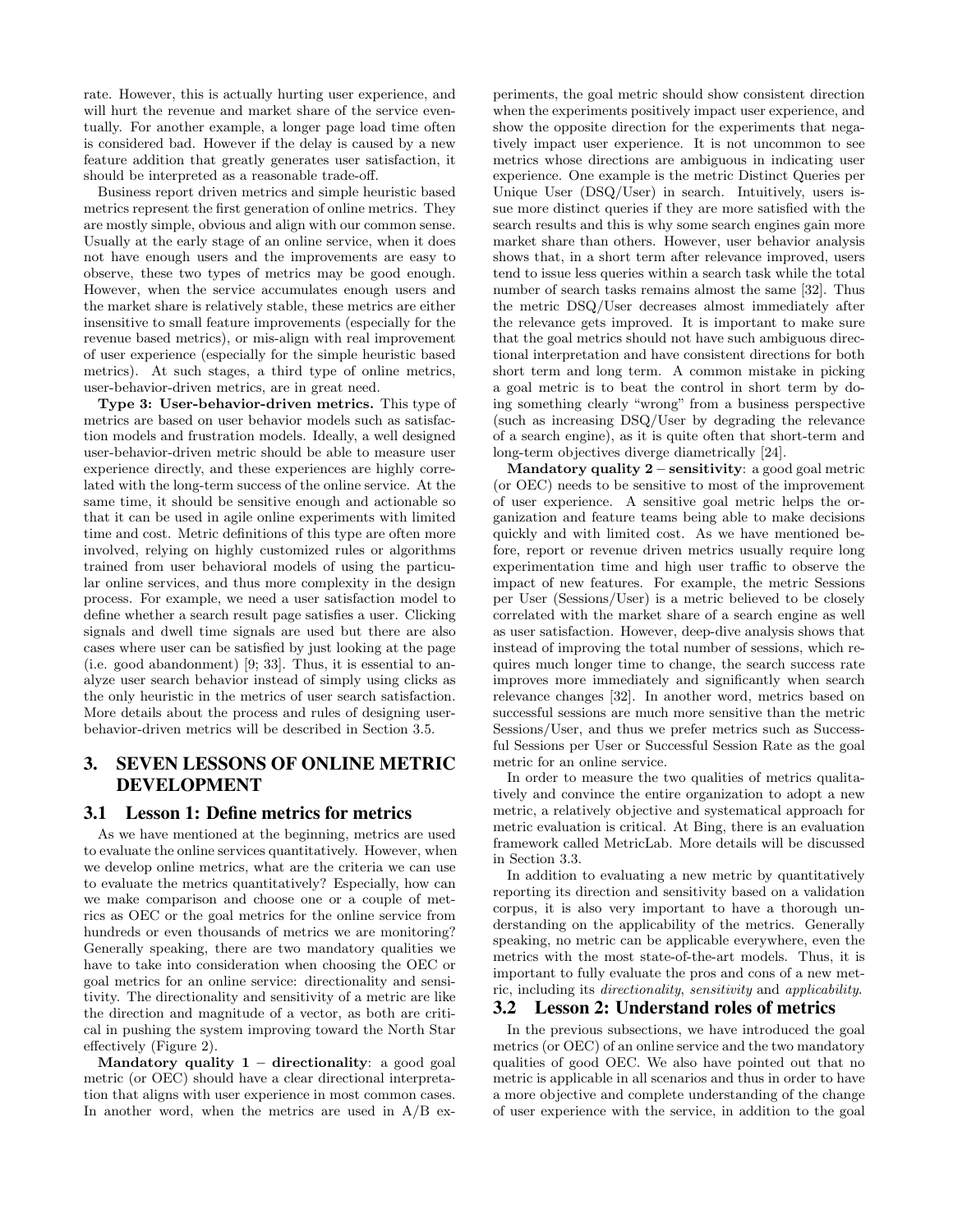rate. However, this is actually hurting user experience, and will hurt the revenue and market share of the service eventually. For another example, a longer page load time often is considered bad. However if the delay is caused by a new feature addition that greatly generates user satisfaction, it should be interpreted as a reasonable trade-off.

Business report driven metrics and simple heuristic based metrics represent the first generation of online metrics. They are mostly simple, obvious and align with our common sense. Usually at the early stage of an online service, when it does not have enough users and the improvements are easy to observe, these two types of metrics may be good enough. However, when the service accumulates enough users and the market share is relatively stable, these metrics are either insensitive to small feature improvements (especially for the revenue based metrics), or mis-align with real improvement of user experience (especially for the simple heuristic based metrics). At such stages, a third type of online metrics, user-behavior-driven metrics, are in great need.

Type 3: User-behavior-driven metrics. This type of metrics are based on user behavior models such as satisfaction models and frustration models. Ideally, a well designed user-behavior-driven metric should be able to measure user experience directly, and these experiences are highly correlated with the long-term success of the online service. At the same time, it should be sensitive enough and actionable so that it can be used in agile online experiments with limited time and cost. Metric definitions of this type are often more involved, relying on highly customized rules or algorithms trained from user behavioral models of using the particular online services, and thus more complexity in the design process. For example, we need a user satisfaction model to define whether a search result page satisfies a user. Clicking signals and dwell time signals are used but there are also cases where user can be satisfied by just looking at the page (i.e. good abandonment) [9; 33]. Thus, it is essential to analyze user search behavior instead of simply using clicks as the only heuristic in the metrics of user search satisfaction. More details about the process and rules of designing userbehavior-driven metrics will be described in Section 3.5.

## 3. SEVEN LESSONS OF ONLINE METRIC DEVELOPMENT

#### 3.1 Lesson 1: Define metrics for metrics

As we have mentioned at the beginning, metrics are used to evaluate the online services quantitatively. However, when we develop online metrics, what are the criteria we can use to evaluate the metrics quantitatively? Especially, how can we make comparison and choose one or a couple of metrics as OEC or the goal metrics for the online service from hundreds or even thousands of metrics we are monitoring? Generally speaking, there are two mandatory qualities we have to take into consideration when choosing the OEC or goal metrics for an online service: directionality and sensitivity. The directionality and sensitivity of a metric are like the direction and magnitude of a vector, as both are critical in pushing the system improving toward the North Star effectively (Figure 2).

Mandatory quality  $1 -$  directionality: a good goal metric (or OEC) should have a clear directional interpretation that aligns with user experience in most common cases. In another word, when the metrics are used in  $A/B$  experiments, the goal metric should show consistent direction when the experiments positively impact user experience, and show the opposite direction for the experiments that negatively impact user experience. It is not uncommon to see metrics whose directions are ambiguous in indicating user experience. One example is the metric Distinct Queries per Unique User (DSQ/User) in search. Intuitively, users issue more distinct queries if they are more satisfied with the search results and this is why some search engines gain more market share than others. However, user behavior analysis shows that, in a short term after relevance improved, users tend to issue less queries within a search task while the total number of search tasks remains almost the same [32]. Thus the metric DSQ/User decreases almost immediately after the relevance gets improved. It is important to make sure that the goal metrics should not have such ambiguous directional interpretation and have consistent directions for both short term and long term. A common mistake in picking a goal metric is to beat the control in short term by doing something clearly "wrong" from a business perspective (such as increasing DSQ/User by degrading the relevance of a search engine), as it is quite often that short-term and long-term objectives diverge diametrically [24].

**Mandatory quality 2 – sensitivity:** a good goal metric (or OEC) needs to be sensitive to most of the improvement of user experience. A sensitive goal metric helps the organization and feature teams being able to make decisions quickly and with limited cost. As we have mentioned before, report or revenue driven metrics usually require long experimentation time and high user traffic to observe the impact of new features. For example, the metric Sessions per User (Sessions/User) is a metric believed to be closely correlated with the market share of a search engine as well as user satisfaction. However, deep-dive analysis shows that instead of improving the total number of sessions, which requires much longer time to change, the search success rate improves more immediately and significantly when search relevance changes [32]. In another word, metrics based on successful sessions are much more sensitive than the metric Sessions/User, and thus we prefer metrics such as Successful Sessions per User or Successful Session Rate as the goal metric for an online service.

In order to measure the two qualities of metrics qualitatively and convince the entire organization to adopt a new metric, a relatively objective and systematical approach for metric evaluation is critical. At Bing, there is an evaluation framework called MetricLab. More details will be discussed in Section 3.3.

In addition to evaluating a new metric by quantitatively reporting its direction and sensitivity based on a validation corpus, it is also very important to have a thorough understanding on the applicability of the metrics. Generally speaking, no metric can be applicable everywhere, even the metrics with the most state-of-the-art models. Thus, it is important to fully evaluate the pros and cons of a new metric, including its directionality, sensitivity and applicability.

## 3.2 Lesson 2: Understand roles of metrics

In the previous subsections, we have introduced the goal metrics (or OEC) of an online service and the two mandatory qualities of good OEC. We also have pointed out that no metric is applicable in all scenarios and thus in order to have a more objective and complete understanding of the change of user experience with the service, in addition to the goal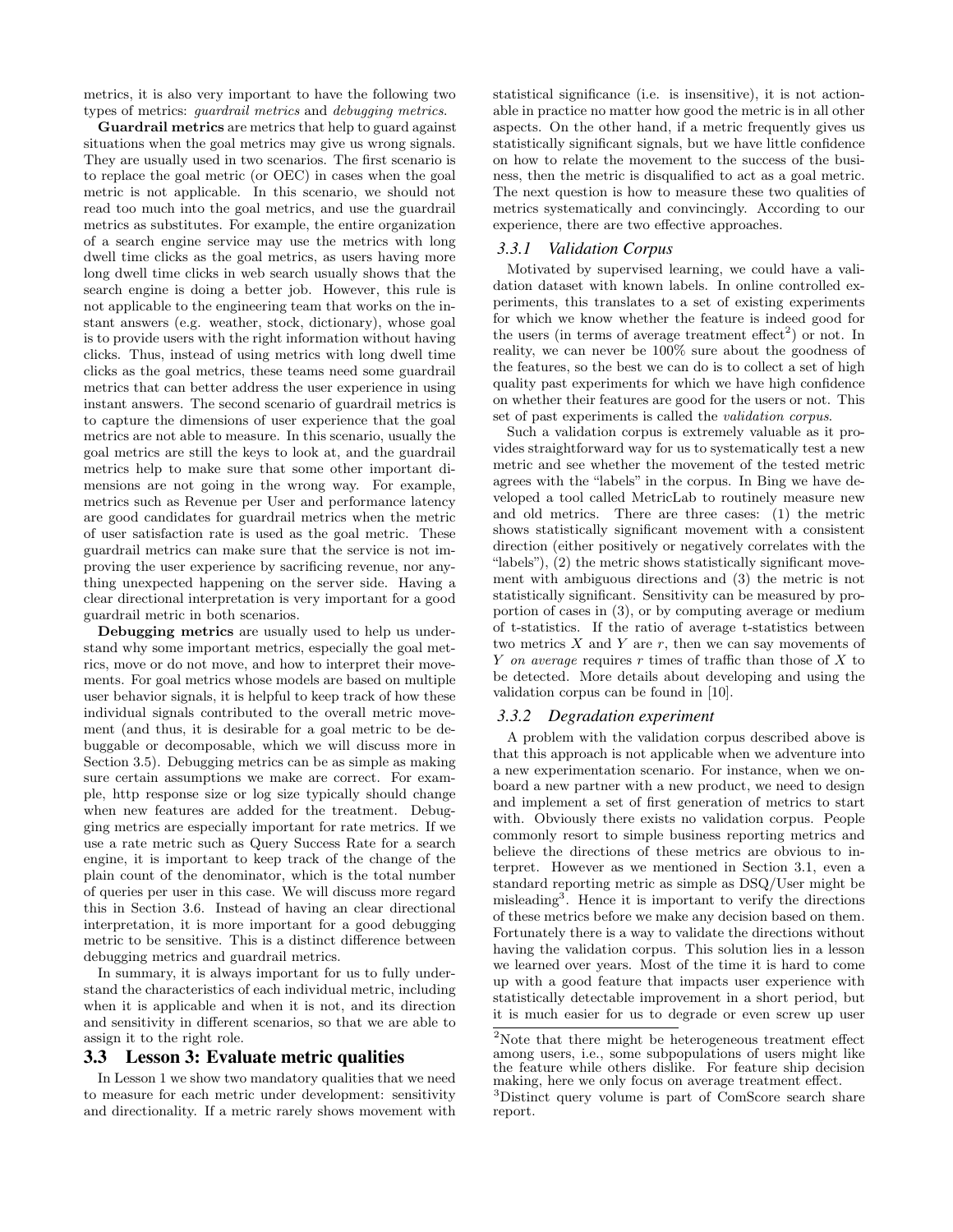metrics, it is also very important to have the following two types of metrics: guardrail metrics and debugging metrics.

Guardrail metrics are metrics that help to guard against situations when the goal metrics may give us wrong signals. They are usually used in two scenarios. The first scenario is to replace the goal metric (or OEC) in cases when the goal metric is not applicable. In this scenario, we should not read too much into the goal metrics, and use the guardrail metrics as substitutes. For example, the entire organization of a search engine service may use the metrics with long dwell time clicks as the goal metrics, as users having more long dwell time clicks in web search usually shows that the search engine is doing a better job. However, this rule is not applicable to the engineering team that works on the instant answers (e.g. weather, stock, dictionary), whose goal is to provide users with the right information without having clicks. Thus, instead of using metrics with long dwell time clicks as the goal metrics, these teams need some guardrail metrics that can better address the user experience in using instant answers. The second scenario of guardrail metrics is to capture the dimensions of user experience that the goal metrics are not able to measure. In this scenario, usually the goal metrics are still the keys to look at, and the guardrail metrics help to make sure that some other important dimensions are not going in the wrong way. For example, metrics such as Revenue per User and performance latency are good candidates for guardrail metrics when the metric of user satisfaction rate is used as the goal metric. These guardrail metrics can make sure that the service is not improving the user experience by sacrificing revenue, nor anything unexpected happening on the server side. Having a clear directional interpretation is very important for a good guardrail metric in both scenarios.

Debugging metrics are usually used to help us understand why some important metrics, especially the goal metrics, move or do not move, and how to interpret their movements. For goal metrics whose models are based on multiple user behavior signals, it is helpful to keep track of how these individual signals contributed to the overall metric movement (and thus, it is desirable for a goal metric to be debuggable or decomposable, which we will discuss more in Section 3.5). Debugging metrics can be as simple as making sure certain assumptions we make are correct. For example, http response size or log size typically should change when new features are added for the treatment. Debugging metrics are especially important for rate metrics. If we use a rate metric such as Query Success Rate for a search engine, it is important to keep track of the change of the plain count of the denominator, which is the total number of queries per user in this case. We will discuss more regard this in Section 3.6. Instead of having an clear directional interpretation, it is more important for a good debugging metric to be sensitive. This is a distinct difference between debugging metrics and guardrail metrics.

In summary, it is always important for us to fully understand the characteristics of each individual metric, including when it is applicable and when it is not, and its direction and sensitivity in different scenarios, so that we are able to assign it to the right role.

#### 3.3 Lesson 3: Evaluate metric qualities

In Lesson 1 we show two mandatory qualities that we need to measure for each metric under development: sensitivity and directionality. If a metric rarely shows movement with statistical significance (i.e. is insensitive), it is not actionable in practice no matter how good the metric is in all other aspects. On the other hand, if a metric frequently gives us statistically significant signals, but we have little confidence on how to relate the movement to the success of the business, then the metric is disqualified to act as a goal metric. The next question is how to measure these two qualities of metrics systematically and convincingly. According to our experience, there are two effective approaches.

#### *3.3.1 Validation Corpus*

Motivated by supervised learning, we could have a validation dataset with known labels. In online controlled experiments, this translates to a set of existing experiments for which we know whether the feature is indeed good for the users (in terms of average treatment effect<sup>2</sup>) or not. In reality, we can never be 100% sure about the goodness of the features, so the best we can do is to collect a set of high quality past experiments for which we have high confidence on whether their features are good for the users or not. This set of past experiments is called the validation corpus.

Such a validation corpus is extremely valuable as it provides straightforward way for us to systematically test a new metric and see whether the movement of the tested metric agrees with the "labels" in the corpus. In Bing we have developed a tool called MetricLab to routinely measure new and old metrics. There are three cases: (1) the metric shows statistically significant movement with a consistent direction (either positively or negatively correlates with the "labels"),  $(2)$  the metric shows statistically significant movement with ambiguous directions and (3) the metric is not statistically significant. Sensitivity can be measured by proportion of cases in (3), or by computing average or medium of t-statistics. If the ratio of average t-statistics between two metrics  $X$  and  $Y$  are  $r$ , then we can say movements of Y on average requires  $r$  times of traffic than those of  $X$  to be detected. More details about developing and using the validation corpus can be found in [10].

#### *3.3.2 Degradation experiment*

A problem with the validation corpus described above is that this approach is not applicable when we adventure into a new experimentation scenario. For instance, when we onboard a new partner with a new product, we need to design and implement a set of first generation of metrics to start with. Obviously there exists no validation corpus. People commonly resort to simple business reporting metrics and believe the directions of these metrics are obvious to interpret. However as we mentioned in Section 3.1, even a standard reporting metric as simple as DSQ/User might be misleading<sup>3</sup>. Hence it is important to verify the directions of these metrics before we make any decision based on them. Fortunately there is a way to validate the directions without having the validation corpus. This solution lies in a lesson we learned over years. Most of the time it is hard to come up with a good feature that impacts user experience with statistically detectable improvement in a short period, but it is much easier for us to degrade or even screw up user

 $2$ Note that there might be heterogeneous treatment effect among users, i.e., some subpopulations of users might like the feature while others dislike. For feature ship decision making, here we only focus on average treatment effect.

<sup>3</sup>Distinct query volume is part of ComScore search share report.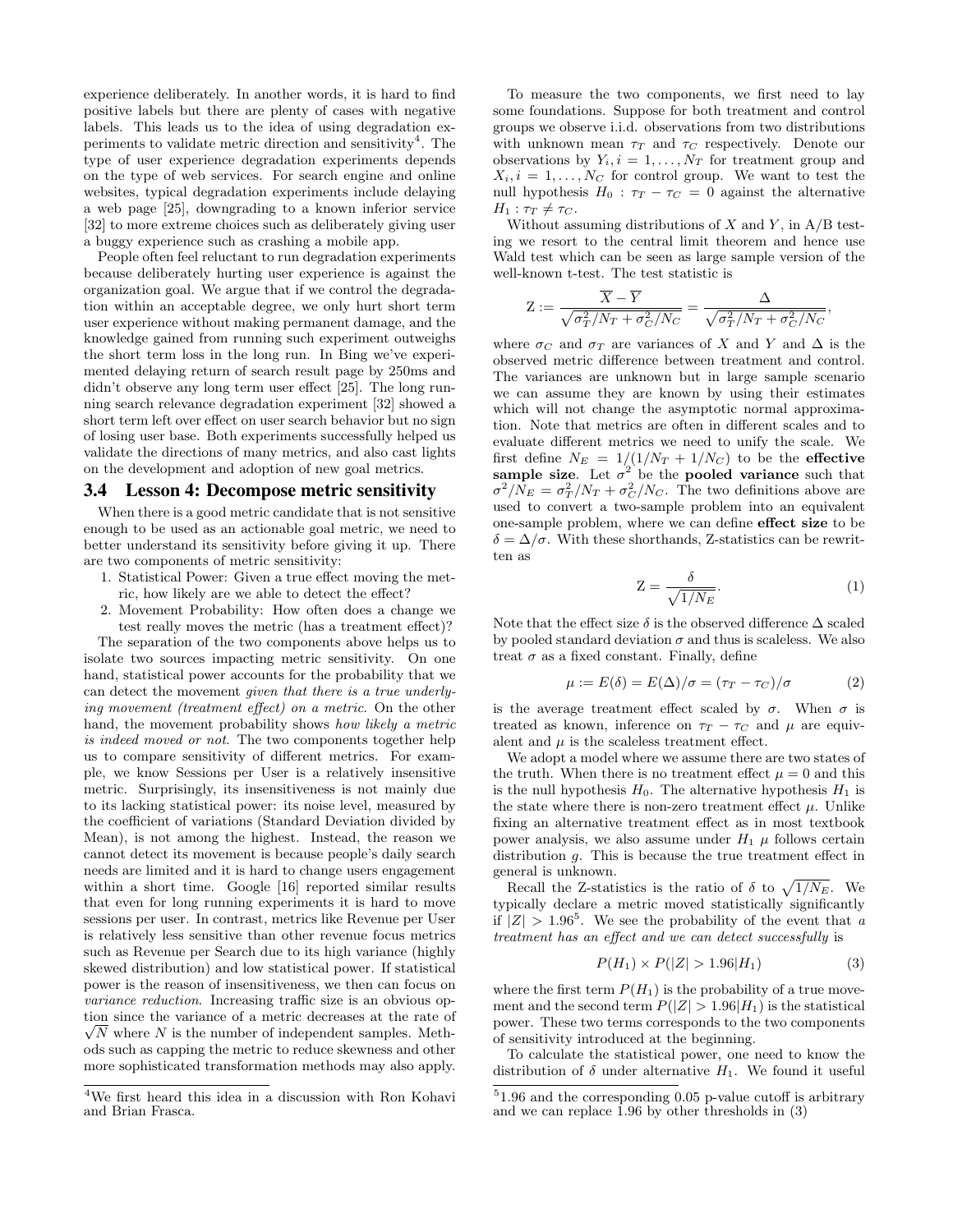experience deliberately. In another words, it is hard to find positive labels but there are plenty of cases with negative labels. This leads us to the idea of using degradation experiments to validate metric direction and sensitivity<sup>4</sup>. The type of user experience degradation experiments depends on the type of web services. For search engine and online websites, typical degradation experiments include delaying a web page [25], downgrading to a known inferior service [32] to more extreme choices such as deliberately giving user a buggy experience such as crashing a mobile app.

People often feel reluctant to run degradation experiments because deliberately hurting user experience is against the organization goal. We argue that if we control the degradation within an acceptable degree, we only hurt short term user experience without making permanent damage, and the knowledge gained from running such experiment outweighs the short term loss in the long run. In Bing we've experimented delaying return of search result page by 250ms and didn't observe any long term user effect [25]. The long running search relevance degradation experiment [32] showed a short term left over effect on user search behavior but no sign of losing user base. Both experiments successfully helped us validate the directions of many metrics, and also cast lights on the development and adoption of new goal metrics.

#### 3.4 Lesson 4: Decompose metric sensitivity

When there is a good metric candidate that is not sensitive enough to be used as an actionable goal metric, we need to better understand its sensitivity before giving it up. There are two components of metric sensitivity:

- 1. Statistical Power: Given a true effect moving the metric, how likely are we able to detect the effect?
- 2. Movement Probability: How often does a change we test really moves the metric (has a treatment effect)?

The separation of the two components above helps us to isolate two sources impacting metric sensitivity. On one hand, statistical power accounts for the probability that we can detect the movement given that there is a true underlying movement (treatment effect) on a metric. On the other hand, the movement probability shows how likely a metric is indeed moved or not. The two components together help us to compare sensitivity of different metrics. For example, we know Sessions per User is a relatively insensitive metric. Surprisingly, its insensitiveness is not mainly due to its lacking statistical power: its noise level, measured by the coefficient of variations (Standard Deviation divided by Mean), is not among the highest. Instead, the reason we cannot detect its movement is because people's daily search needs are limited and it is hard to change users engagement within a short time. Google [16] reported similar results that even for long running experiments it is hard to move sessions per user. In contrast, metrics like Revenue per User is relatively less sensitive than other revenue focus metrics such as Revenue per Search due to its high variance (highly skewed distribution) and low statistical power. If statistical power is the reason of insensitiveness, we then can focus on variance reduction. Increasing traffic size is an obvious option since the variance of a metric decreases at the rate of  $\sqrt{N}$  where N is the number of independent samples. Methods such as capping the metric to reduce skewness and other more sophisticated transformation methods may also apply.

To measure the two components, we first need to lay some foundations. Suppose for both treatment and control groups we observe i.i.d. observations from two distributions with unknown mean  $\tau_T$  and  $\tau_C$  respectively. Denote our observations by  $Y_i, i = 1, \ldots, N_T$  for treatment group and  $X_i, i = 1, \ldots, N_C$  for control group. We want to test the null hypothesis  $H_0$ :  $\tau_T - \tau_C = 0$  against the alternative  $H_1 : \tau_T \neq \tau_C$ .

Without assuming distributions of  $X$  and  $Y$ , in  $A/B$  testing we resort to the central limit theorem and hence use Wald test which can be seen as large sample version of the well-known t-test. The test statistic is

$$
Z := \frac{\overline{X} - \overline{Y}}{\sqrt{\sigma_T^2/N_T + \sigma_C^2/N_C}} = \frac{\Delta}{\sqrt{\sigma_T^2/N_T + \sigma_C^2/N_C}},
$$

where  $\sigma_C$  and  $\sigma_T$  are variances of X and Y and  $\Delta$  is the observed metric difference between treatment and control. The variances are unknown but in large sample scenario we can assume they are known by using their estimates which will not change the asymptotic normal approximation. Note that metrics are often in different scales and to evaluate different metrics we need to unify the scale. We first define  $N_E = 1/(1/N_T + 1/N_C)$  to be the effective sample size. Let  $\sigma^2$  be the pooled variance such that  $\sigma^2/N_E = \sigma_T^2/N_T + \sigma_C^2/N_C$ . The two definitions above are used to convert a two-sample problem into an equivalent one-sample problem, where we can define effect size to be  $\delta = \Delta/\sigma$ . With these shorthands, Z-statistics can be rewritten as

$$
Z = \frac{\delta}{\sqrt{1/N_E}}.\tag{1}
$$

Note that the effect size  $\delta$  is the observed difference  $\Delta$  scaled by pooled standard deviation  $\sigma$  and thus is scaleless. We also treat  $\sigma$  as a fixed constant. Finally, define

$$
\mu := E(\delta) = E(\Delta)/\sigma = (\tau_T - \tau_C)/\sigma \tag{2}
$$

is the average treatment effect scaled by  $\sigma$ . When  $\sigma$  is treated as known, inference on  $\tau_T - \tau_C$  and  $\mu$  are equivalent and  $\mu$  is the scaleless treatment effect.

We adopt a model where we assume there are two states of the truth. When there is no treatment effect  $\mu = 0$  and this is the null hypothesis  $H_0$ . The alternative hypothesis  $H_1$  is the state where there is non-zero treatment effect  $\mu$ . Unlike fixing an alternative treatment effect as in most textbook power analysis, we also assume under  $H_1$   $\mu$  follows certain distribution g. This is because the true treatment effect in general is unknown.

Recall the Z-statistics is the ratio of  $\delta$  to  $\sqrt{1/N_E}$ . We typically declare a metric moved statistically significantly if  $|Z| > 1.96^5$ . We see the probability of the event that a treatment has an effect and we can detect successfully is

$$
P(H_1) \times P(|Z| > 1.96|H_1)
$$
\n(3)

where the first term  $P(H_1)$  is the probability of a true movement and the second term  $P(|Z| > 1.96|H_1)$  is the statistical power. These two terms corresponds to the two components of sensitivity introduced at the beginning.

To calculate the statistical power, one need to know the distribution of  $\delta$  under alternative  $H_1$ . We found it useful

 ${}^{4}{\rm{We}}$  first heard this idea in a discussion with Ron Kohavi and Brian Frasca.

<sup>&</sup>lt;sup>5</sup>1.96 and the corresponding 0.05 p-value cutoff is arbitrary and we can replace 1.96 by other thresholds in (3)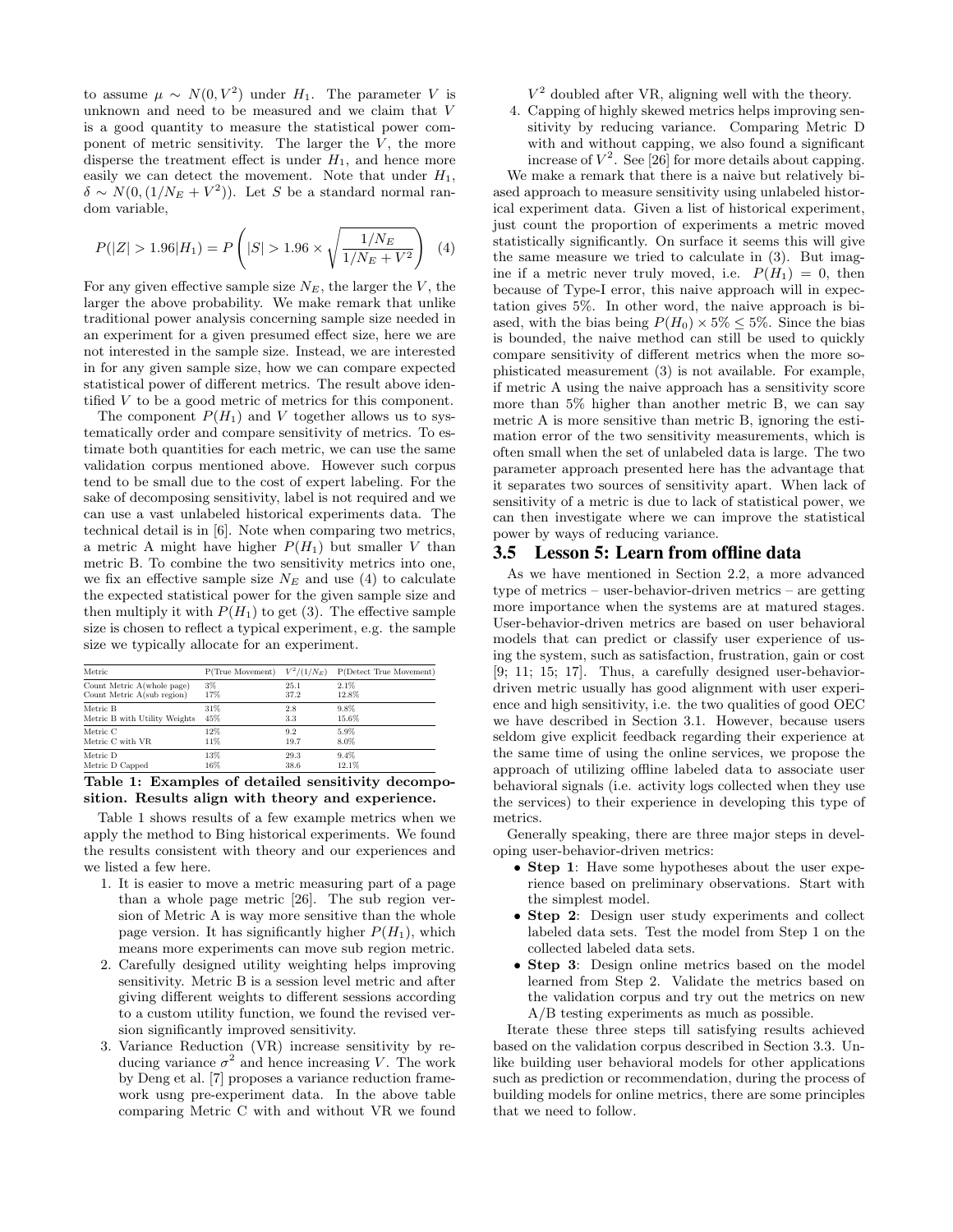to assume  $\mu \sim N(0, V^2)$  under  $H_1$ . The parameter V is unknown and need to be measured and we claim that V is a good quantity to measure the statistical power component of metric sensitivity. The larger the  $V$ , the more disperse the treatment effect is under  $H_1$ , and hence more easily we can detect the movement. Note that under  $H_1$ ,  $\delta \sim N(0, (1/N_E + V^2))$ . Let S be a standard normal random variable,

$$
P(|Z| > 1.96|H_1) = P\left(|S| > 1.96 \times \sqrt{\frac{1/N_E}{1/N_E + V^2}}\right) \tag{4}
$$

For any given effective sample size  $N_E$ , the larger the V, the larger the above probability. We make remark that unlike traditional power analysis concerning sample size needed in an experiment for a given presumed effect size, here we are not interested in the sample size. Instead, we are interested in for any given sample size, how we can compare expected statistical power of different metrics. The result above identified V to be a good metric of metrics for this component.

The component  $P(H_1)$  and V together allows us to systematically order and compare sensitivity of metrics. To estimate both quantities for each metric, we can use the same validation corpus mentioned above. However such corpus tend to be small due to the cost of expert labeling. For the sake of decomposing sensitivity, label is not required and we can use a vast unlabeled historical experiments data. The technical detail is in [6]. Note when comparing two metrics, a metric A might have higher  $P(H_1)$  but smaller V than metric B. To combine the two sensitivity metrics into one, we fix an effective sample size  $N_E$  and use (4) to calculate the expected statistical power for the given sample size and then multiply it with  $P(H_1)$  to get (3). The effective sample size is chosen to reflect a typical experiment, e.g. the sample size we typically allocate for an experiment.

| Metric                        | P(True Movement) | $V^2/(1/N_E)$ | P(Detect True Movement) |
|-------------------------------|------------------|---------------|-------------------------|
| Count Metric A(whole page)    | 3%               | 25.1          | 2.1%                    |
| Count Metric A(sub region)    | 17%              | 37.2          | 12.8%                   |
| Metric B                      | 31%              | 2.8           | 9.8%                    |
| Metric B with Utility Weights | 45%              | 3.3           | 15.6%                   |
| Metric C                      | 12%              | 9.2           | 5.9%                    |
| Metric C with VR              | 11%              | 19.7          | 8.0%                    |
| Metric D                      | 13%              | 29.3          | 9.4%                    |
| Metric D Capped               | 16%              | 38.6          | 12.1%                   |

Table 1: Examples of detailed sensitivity decomposition. Results align with theory and experience.

Table 1 shows results of a few example metrics when we apply the method to Bing historical experiments. We found the results consistent with theory and our experiences and we listed a few here.

- 1. It is easier to move a metric measuring part of a page than a whole page metric [26]. The sub region version of Metric A is way more sensitive than the whole page version. It has significantly higher  $P(H_1)$ , which means more experiments can move sub region metric.
- 2. Carefully designed utility weighting helps improving sensitivity. Metric B is a session level metric and after giving different weights to different sessions according to a custom utility function, we found the revised version significantly improved sensitivity.
- 3. Variance Reduction (VR) increase sensitivity by reducing variance  $\sigma^2$  and hence increasing V. The work by Deng et al. [7] proposes a variance reduction framework usng pre-experiment data. In the above table comparing Metric C with and without VR we found

 $V^2$  doubled after VR, aligning well with the theory.

4. Capping of highly skewed metrics helps improving sensitivity by reducing variance. Comparing Metric D with and without capping, we also found a significant increase of  $V^2$ . See [26] for more details about capping.

We make a remark that there is a naive but relatively biased approach to measure sensitivity using unlabeled historical experiment data. Given a list of historical experiment, just count the proportion of experiments a metric moved statistically significantly. On surface it seems this will give the same measure we tried to calculate in (3). But imagine if a metric never truly moved, i.e.  $P(H_1) = 0$ , then because of Type-I error, this naive approach will in expectation gives 5%. In other word, the naive approach is biased, with the bias being  $P(H_0) \times 5\% \leq 5\%$ . Since the bias is bounded, the naive method can still be used to quickly compare sensitivity of different metrics when the more sophisticated measurement (3) is not available. For example, if metric A using the naive approach has a sensitivity score more than 5% higher than another metric B, we can say metric A is more sensitive than metric B, ignoring the estimation error of the two sensitivity measurements, which is often small when the set of unlabeled data is large. The two parameter approach presented here has the advantage that it separates two sources of sensitivity apart. When lack of sensitivity of a metric is due to lack of statistical power, we can then investigate where we can improve the statistical power by ways of reducing variance.

#### 3.5 Lesson 5: Learn from offline data

As we have mentioned in Section 2.2, a more advanced type of metrics – user-behavior-driven metrics – are getting more importance when the systems are at matured stages. User-behavior-driven metrics are based on user behavioral models that can predict or classify user experience of using the system, such as satisfaction, frustration, gain or cost [9; 11; 15; 17]. Thus, a carefully designed user-behaviordriven metric usually has good alignment with user experience and high sensitivity, i.e. the two qualities of good OEC we have described in Section 3.1. However, because users seldom give explicit feedback regarding their experience at the same time of using the online services, we propose the approach of utilizing offline labeled data to associate user behavioral signals (i.e. activity logs collected when they use the services) to their experience in developing this type of metrics.

Generally speaking, there are three major steps in developing user-behavior-driven metrics:

- Step 1: Have some hypotheses about the user experience based on preliminary observations. Start with the simplest model.
- Step 2: Design user study experiments and collect labeled data sets. Test the model from Step 1 on the collected labeled data sets.
- Step 3: Design online metrics based on the model learned from Step 2. Validate the metrics based on the validation corpus and try out the metrics on new A/B testing experiments as much as possible.

Iterate these three steps till satisfying results achieved based on the validation corpus described in Section 3.3. Unlike building user behavioral models for other applications such as prediction or recommendation, during the process of building models for online metrics, there are some principles that we need to follow.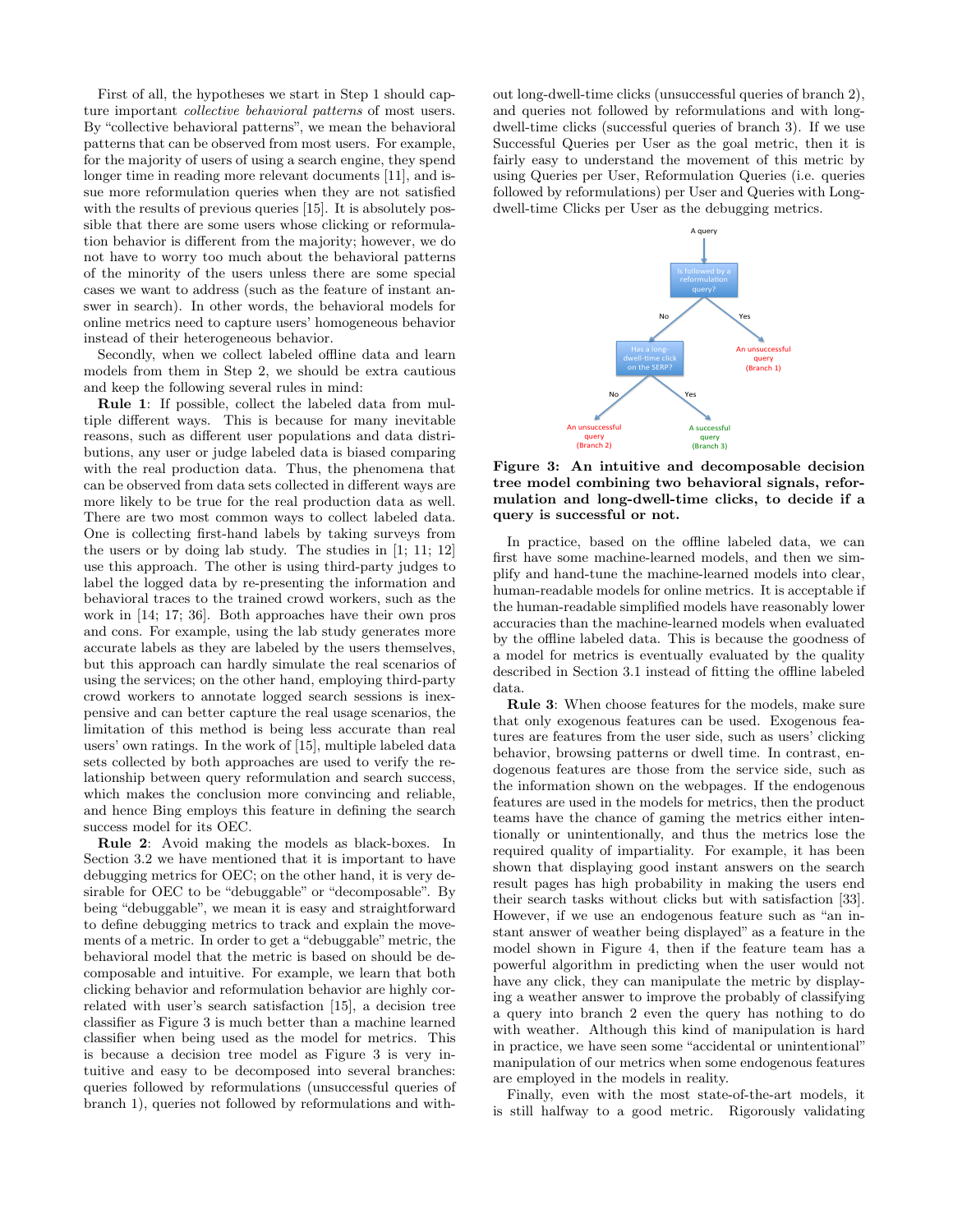First of all, the hypotheses we start in Step 1 should capture important collective behavioral patterns of most users. By "collective behavioral patterns", we mean the behavioral patterns that can be observed from most users. For example, for the majority of users of using a search engine, they spend longer time in reading more relevant documents [11], and issue more reformulation queries when they are not satisfied with the results of previous queries [15]. It is absolutely possible that there are some users whose clicking or reformulation behavior is different from the majority; however, we do not have to worry too much about the behavioral patterns of the minority of the users unless there are some special cases we want to address (such as the feature of instant answer in search). In other words, the behavioral models for online metrics need to capture users' homogeneous behavior instead of their heterogeneous behavior.

Secondly, when we collect labeled offline data and learn models from them in Step 2, we should be extra cautious and keep the following several rules in mind:

Rule 1: If possible, collect the labeled data from multiple different ways. This is because for many inevitable reasons, such as different user populations and data distributions, any user or judge labeled data is biased comparing with the real production data. Thus, the phenomena that can be observed from data sets collected in different ways are more likely to be true for the real production data as well. There are two most common ways to collect labeled data. One is collecting first-hand labels by taking surveys from the users or by doing lab study. The studies in [1; 11; 12] use this approach. The other is using third-party judges to label the logged data by re-presenting the information and behavioral traces to the trained crowd workers, such as the work in [14; 17; 36]. Both approaches have their own pros and cons. For example, using the lab study generates more accurate labels as they are labeled by the users themselves, but this approach can hardly simulate the real scenarios of using the services; on the other hand, employing third-party crowd workers to annotate logged search sessions is inexpensive and can better capture the real usage scenarios, the limitation of this method is being less accurate than real users' own ratings. In the work of [15], multiple labeled data sets collected by both approaches are used to verify the relationship between query reformulation and search success, which makes the conclusion more convincing and reliable, and hence Bing employs this feature in defining the search success model for its OEC.

Rule 2: Avoid making the models as black-boxes. In Section 3.2 we have mentioned that it is important to have debugging metrics for OEC; on the other hand, it is very desirable for OEC to be "debuggable" or "decomposable". By being "debuggable", we mean it is easy and straightforward to define debugging metrics to track and explain the movements of a metric. In order to get a "debuggable" metric, the behavioral model that the metric is based on should be decomposable and intuitive. For example, we learn that both clicking behavior and reformulation behavior are highly correlated with user's search satisfaction [15], a decision tree classifier as Figure 3 is much better than a machine learned classifier when being used as the model for metrics. This is because a decision tree model as Figure 3 is very intuitive and easy to be decomposed into several branches: queries followed by reformulations (unsuccessful queries of branch 1), queries not followed by reformulations and without long-dwell-time clicks (unsuccessful queries of branch 2), and queries not followed by reformulations and with longdwell-time clicks (successful queries of branch 3). If we use Successful Queries per User as the goal metric, then it is fairly easy to understand the movement of this metric by using Queries per User, Reformulation Queries (i.e. queries followed by reformulations) per User and Queries with Longdwell-time Clicks per User as the debugging metrics.



Figure 3: An intuitive and decomposable decision tree model combining two behavioral signals, reformulation and long-dwell-time clicks, to decide if a query is successful or not.

In practice, based on the offline labeled data, we can first have some machine-learned models, and then we simplify and hand-tune the machine-learned models into clear, human-readable models for online metrics. It is acceptable if the human-readable simplified models have reasonably lower accuracies than the machine-learned models when evaluated by the offline labeled data. This is because the goodness of a model for metrics is eventually evaluated by the quality described in Section 3.1 instead of fitting the offline labeled data.

Rule 3: When choose features for the models, make sure that only exogenous features can be used. Exogenous features are features from the user side, such as users' clicking behavior, browsing patterns or dwell time. In contrast, endogenous features are those from the service side, such as the information shown on the webpages. If the endogenous features are used in the models for metrics, then the product teams have the chance of gaming the metrics either intentionally or unintentionally, and thus the metrics lose the required quality of impartiality. For example, it has been shown that displaying good instant answers on the search result pages has high probability in making the users end their search tasks without clicks but with satisfaction [33]. However, if we use an endogenous feature such as "an instant answer of weather being displayed" as a feature in the model shown in Figure 4, then if the feature team has a powerful algorithm in predicting when the user would not have any click, they can manipulate the metric by displaying a weather answer to improve the probably of classifying a query into branch 2 even the query has nothing to do with weather. Although this kind of manipulation is hard in practice, we have seen some "accidental or unintentional" manipulation of our metrics when some endogenous features are employed in the models in reality.

Finally, even with the most state-of-the-art models, it is still halfway to a good metric. Rigorously validating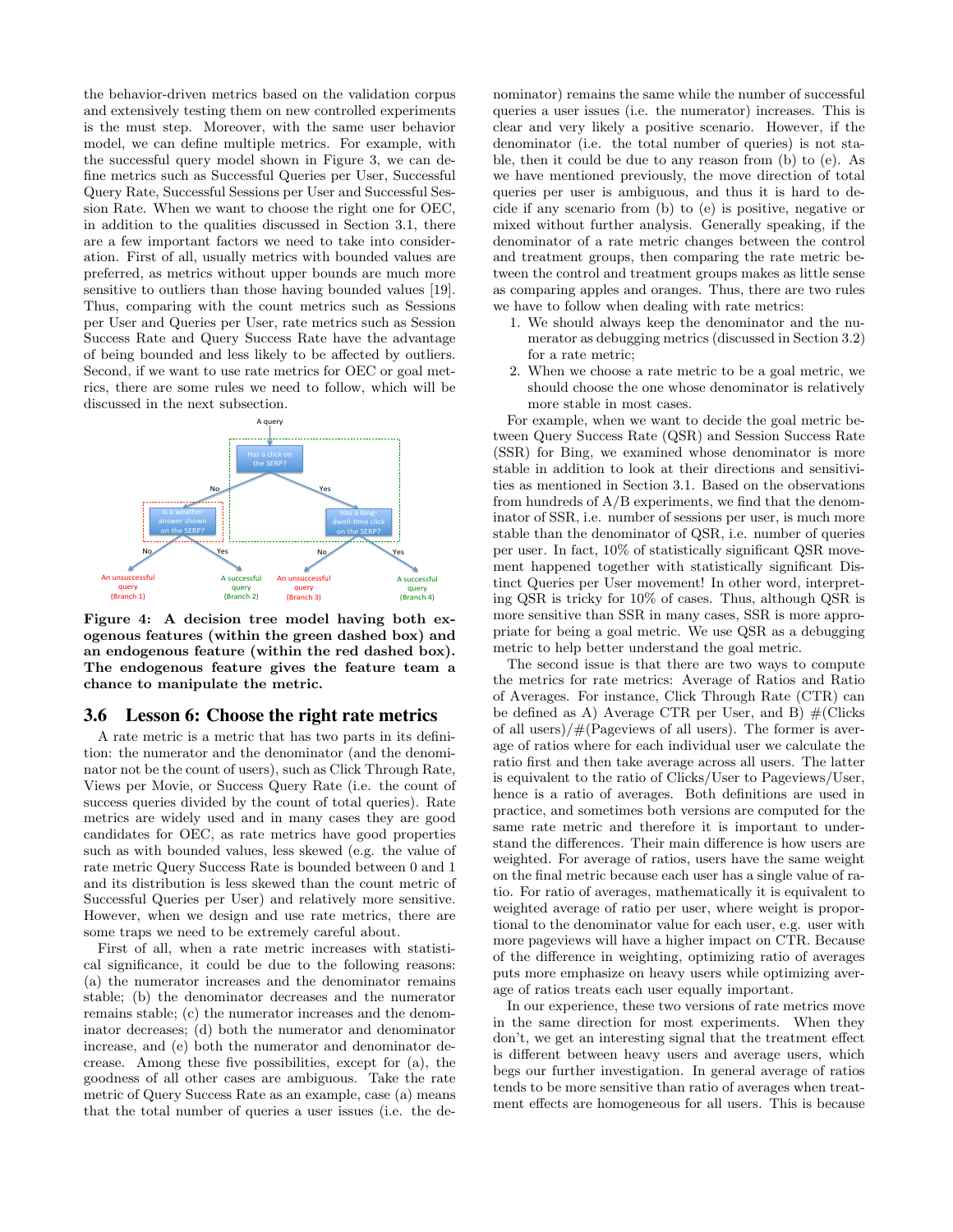the behavior-driven metrics based on the validation corpus and extensively testing them on new controlled experiments is the must step. Moreover, with the same user behavior model, we can define multiple metrics. For example, with the successful query model shown in Figure 3, we can define metrics such as Successful Queries per User, Successful Query Rate, Successful Sessions per User and Successful Session Rate. When we want to choose the right one for OEC, in addition to the qualities discussed in Section 3.1, there are a few important factors we need to take into consideration. First of all, usually metrics with bounded values are preferred, as metrics without upper bounds are much more sensitive to outliers than those having bounded values [19]. Thus, comparing with the count metrics such as Sessions per User and Queries per User, rate metrics such as Session Success Rate and Query Success Rate have the advantage of being bounded and less likely to be affected by outliers. Second, if we want to use rate metrics for OEC or goal metrics, there are some rules we need to follow, which will be discussed in the next subsection.



Figure 4: A decision tree model having both exogenous features (within the green dashed box) and an endogenous feature (within the red dashed box). The endogenous feature gives the feature team a chance to manipulate the metric.

#### 3.6 Lesson 6: Choose the right rate metrics

A rate metric is a metric that has two parts in its definition: the numerator and the denominator (and the denominator not be the count of users), such as Click Through Rate, Views per Movie, or Success Query Rate (i.e. the count of success queries divided by the count of total queries). Rate metrics are widely used and in many cases they are good candidates for OEC, as rate metrics have good properties such as with bounded values, less skewed (e.g. the value of rate metric Query Success Rate is bounded between 0 and 1 and its distribution is less skewed than the count metric of Successful Queries per User) and relatively more sensitive. However, when we design and use rate metrics, there are some traps we need to be extremely careful about.

First of all, when a rate metric increases with statistical significance, it could be due to the following reasons: (a) the numerator increases and the denominator remains stable; (b) the denominator decreases and the numerator remains stable; (c) the numerator increases and the denominator decreases; (d) both the numerator and denominator increase, and (e) both the numerator and denominator decrease. Among these five possibilities, except for (a), the goodness of all other cases are ambiguous. Take the rate metric of Query Success Rate as an example, case (a) means that the total number of queries a user issues (i.e. the denominator) remains the same while the number of successful queries a user issues (i.e. the numerator) increases. This is clear and very likely a positive scenario. However, if the denominator (i.e. the total number of queries) is not stable, then it could be due to any reason from (b) to (e). As we have mentioned previously, the move direction of total queries per user is ambiguous, and thus it is hard to decide if any scenario from (b) to (e) is positive, negative or mixed without further analysis. Generally speaking, if the denominator of a rate metric changes between the control and treatment groups, then comparing the rate metric between the control and treatment groups makes as little sense as comparing apples and oranges. Thus, there are two rules we have to follow when dealing with rate metrics:

- 1. We should always keep the denominator and the numerator as debugging metrics (discussed in Section 3.2) for a rate metric;
- 2. When we choose a rate metric to be a goal metric, we should choose the one whose denominator is relatively more stable in most cases.

For example, when we want to decide the goal metric between Query Success Rate (QSR) and Session Success Rate (SSR) for Bing, we examined whose denominator is more stable in addition to look at their directions and sensitivities as mentioned in Section 3.1. Based on the observations from hundreds of A/B experiments, we find that the denominator of SSR, i.e. number of sessions per user, is much more stable than the denominator of QSR, i.e. number of queries per user. In fact, 10% of statistically significant QSR movement happened together with statistically significant Distinct Queries per User movement! In other word, interpreting QSR is tricky for 10% of cases. Thus, although QSR is more sensitive than SSR in many cases, SSR is more appropriate for being a goal metric. We use QSR as a debugging metric to help better understand the goal metric.

The second issue is that there are two ways to compute the metrics for rate metrics: Average of Ratios and Ratio of Averages. For instance, Click Through Rate (CTR) can be defined as A) Average CTR per User, and B)  $\#$ (Clicks of all users)/ $\#$ (Pageviews of all users). The former is average of ratios where for each individual user we calculate the ratio first and then take average across all users. The latter is equivalent to the ratio of Clicks/User to Pageviews/User, hence is a ratio of averages. Both definitions are used in practice, and sometimes both versions are computed for the same rate metric and therefore it is important to understand the differences. Their main difference is how users are weighted. For average of ratios, users have the same weight on the final metric because each user has a single value of ratio. For ratio of averages, mathematically it is equivalent to weighted average of ratio per user, where weight is proportional to the denominator value for each user, e.g. user with more pageviews will have a higher impact on CTR. Because of the difference in weighting, optimizing ratio of averages puts more emphasize on heavy users while optimizing average of ratios treats each user equally important.

In our experience, these two versions of rate metrics move in the same direction for most experiments. When they don't, we get an interesting signal that the treatment effect is different between heavy users and average users, which begs our further investigation. In general average of ratios tends to be more sensitive than ratio of averages when treatment effects are homogeneous for all users. This is because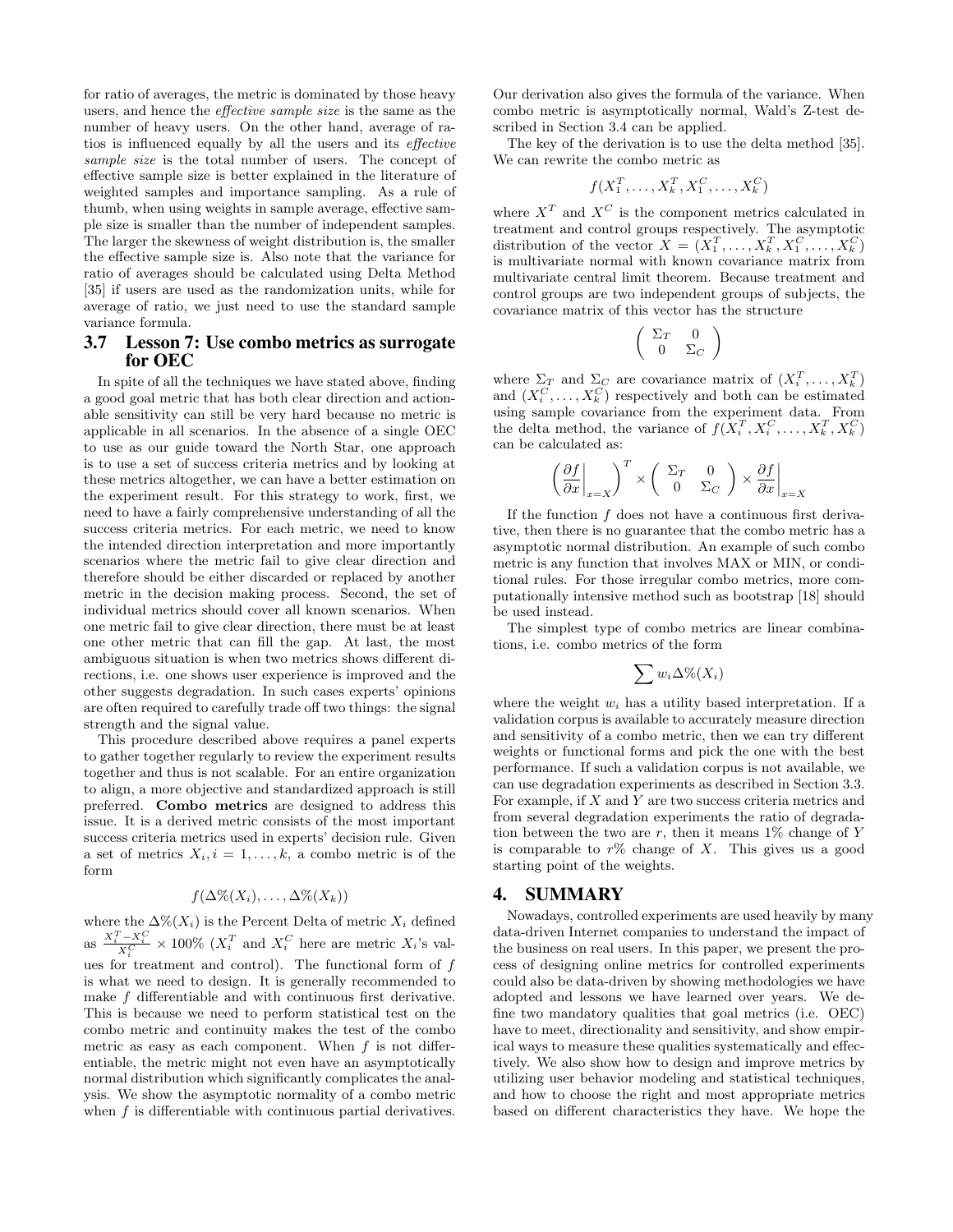for ratio of averages, the metric is dominated by those heavy users, and hence the effective sample size is the same as the number of heavy users. On the other hand, average of ratios is influenced equally by all the users and its effective sample size is the total number of users. The concept of effective sample size is better explained in the literature of weighted samples and importance sampling. As a rule of thumb, when using weights in sample average, effective sample size is smaller than the number of independent samples. The larger the skewness of weight distribution is, the smaller the effective sample size is. Also note that the variance for ratio of averages should be calculated using Delta Method [35] if users are used as the randomization units, while for average of ratio, we just need to use the standard sample variance formula.

## 3.7 Lesson 7: Use combo metrics as surrogate for OEC

In spite of all the techniques we have stated above, finding a good goal metric that has both clear direction and actionable sensitivity can still be very hard because no metric is applicable in all scenarios. In the absence of a single OEC to use as our guide toward the North Star, one approach is to use a set of success criteria metrics and by looking at these metrics altogether, we can have a better estimation on the experiment result. For this strategy to work, first, we need to have a fairly comprehensive understanding of all the success criteria metrics. For each metric, we need to know the intended direction interpretation and more importantly scenarios where the metric fail to give clear direction and therefore should be either discarded or replaced by another metric in the decision making process. Second, the set of individual metrics should cover all known scenarios. When one metric fail to give clear direction, there must be at least one other metric that can fill the gap. At last, the most ambiguous situation is when two metrics shows different directions, i.e. one shows user experience is improved and the other suggests degradation. In such cases experts' opinions are often required to carefully trade off two things: the signal strength and the signal value.

This procedure described above requires a panel experts to gather together regularly to review the experiment results together and thus is not scalable. For an entire organization to align, a more objective and standardized approach is still preferred. Combo metrics are designed to address this issue. It is a derived metric consists of the most important success criteria metrics used in experts' decision rule. Given a set of metrics  $X_i, i = 1, \ldots, k$ , a combo metric is of the form

#### $f(\Delta\% (X_i), \ldots, \Delta\% (X_k))$

where the  $\Delta\%$ ( $X_i$ ) is the Percent Delta of metric  $X_i$  defined as  $\frac{X_i^T - X_i^C}{X_i^C} \times 100\%$  ( $X_i^T$  and  $X_i^C$  here are metric  $X_i$ 's values for treatment and control). The functional form of f is what we need to design. It is generally recommended to make f differentiable and with continuous first derivative. This is because we need to perform statistical test on the combo metric and continuity makes the test of the combo metric as easy as each component. When  $f$  is not differentiable, the metric might not even have an asymptotically normal distribution which significantly complicates the analysis. We show the asymptotic normality of a combo metric when  $f$  is differentiable with continuous partial derivatives.

Our derivation also gives the formula of the variance. When combo metric is asymptotically normal, Wald's Z-test described in Section 3.4 can be applied.

The key of the derivation is to use the delta method [35]. We can rewrite the combo metric as

$$
f(X_1^T, \ldots, X_k^T, X_1^C, \ldots, X_k^C)
$$

where  $X^T$  and  $X^C$  is the component metrics calculated in treatment and control groups respectively. The asymptotic distribution of the vector  $X = (X_1^T, \ldots, X_k^T, X_1^C, \ldots, X_k^C)$ is multivariate normal with known covariance matrix from multivariate central limit theorem. Because treatment and control groups are two independent groups of subjects, the covariance matrix of this vector has the structure

$$
\left(\begin{array}{cc} \Sigma_T & 0 \\ 0 & \Sigma_C \end{array}\right)
$$

where  $\Sigma_T$  and  $\Sigma_C$  are covariance matrix of  $(X_i^T, \ldots, X_k^T)$ and  $(X_i^C, \ldots, X_k^C)$  respectively and both can be estimated using sample covariance from the experiment data. From the delta method, the variance of  $f(X_i^T, X_i^C, \ldots, X_k^T, X_k^C)$ can be calculated as:

$$
\left(\frac{\partial f}{\partial x}\bigg|_{x=X}\right)^T \times \left(\begin{array}{cc} \Sigma_T & 0\\ 0 & \Sigma_C \end{array}\right) \times \frac{\partial f}{\partial x}\bigg|_{x=X}
$$

If the function  $f$  does not have a continuous first derivative, then there is no guarantee that the combo metric has a asymptotic normal distribution. An example of such combo metric is any function that involves MAX or MIN, or conditional rules. For those irregular combo metrics, more computationally intensive method such as bootstrap [18] should be used instead.

The simplest type of combo metrics are linear combinations, i.e. combo metrics of the form

$$
\sum w_i \Delta \% (X_i)
$$

where the weight  $w_i$  has a utility based interpretation. If a validation corpus is available to accurately measure direction and sensitivity of a combo metric, then we can try different weights or functional forms and pick the one with the best performance. If such a validation corpus is not available, we can use degradation experiments as described in Section 3.3. For example, if  $X$  and  $Y$  are two success criteria metrics and from several degradation experiments the ratio of degradation between the two are r, then it means  $1\%$  change of Y is comparable to  $r\%$  change of X. This gives us a good starting point of the weights.

#### 4. SUMMARY

Nowadays, controlled experiments are used heavily by many data-driven Internet companies to understand the impact of the business on real users. In this paper, we present the process of designing online metrics for controlled experiments could also be data-driven by showing methodologies we have adopted and lessons we have learned over years. We define two mandatory qualities that goal metrics (i.e. OEC) have to meet, directionality and sensitivity, and show empirical ways to measure these qualities systematically and effectively. We also show how to design and improve metrics by utilizing user behavior modeling and statistical techniques, and how to choose the right and most appropriate metrics based on different characteristics they have. We hope the